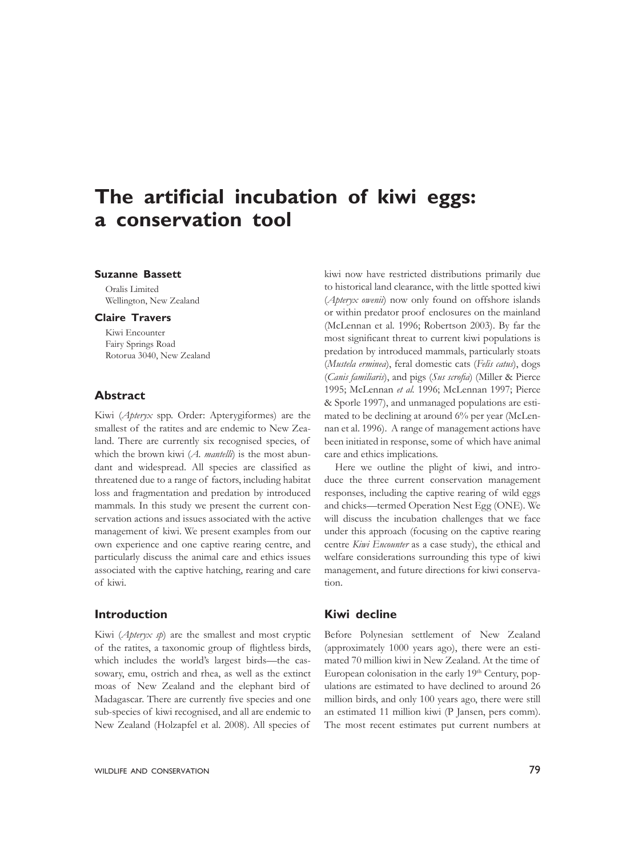# **The artificial incubation of kiwi eggs: a conservation tool**

## **Suzanne Bassett**

Oralis Limited Wellington, New Zealand

## **Claire Travers**

Kiwi Encounter Fairy Springs Road Rotorua 3040, New Zealand

# **Abstract**

Kiwi (*Apteryx* spp. Order: Apterygiformes) are the smallest of the ratites and are endemic to New Zealand. There are currently six recognised species, of which the brown kiwi (*A. mantelli*) is the most abundant and widespread. All species are classified as threatened due to a range of factors, including habitat loss and fragmentation and predation by introduced mammals. In this study we present the current conservation actions and issues associated with the active management of kiwi. We present examples from our own experience and one captive rearing centre, and particularly discuss the animal care and ethics issues associated with the captive hatching, rearing and care of kiwi.

## **Introduction**

Kiwi (*Apteryx sp*) are the smallest and most cryptic of the ratites, a taxonomic group of flightless birds, which includes the world's largest birds—the cassowary, emu, ostrich and rhea, as well as the extinct moas of New Zealand and the elephant bird of Madagascar. There are currently five species and one sub-species of kiwi recognised, and all are endemic to New Zealand (Holzapfel et al. 2008). All species of

kiwi now have restricted distributions primarily due to historical land clearance, with the little spotted kiwi (*Apteryx owenii*) now only found on offshore islands or within predator proof enclosures on the mainland (McLennan et al*.* 1996; Robertson 2003). By far the most significant threat to current kiwi populations is predation by introduced mammals, particularly stoats (*Mustela erminea*), feral domestic cats (*Felis catus*), dogs (*Canis familiaris*), and pigs (*Sus scrofia*) (Miller & Pierce 1995; McLennan *et al.* 1996; McLennan 1997; Pierce & Sporle 1997), and unmanaged populations are estimated to be declining at around 6% per year (McLennan et al. 1996). A range of management actions have been initiated in response, some of which have animal care and ethics implications.

Here we outline the plight of kiwi, and introduce the three current conservation management responses, including the captive rearing of wild eggs and chicks—termed Operation Nest Egg (ONE). We will discuss the incubation challenges that we face under this approach (focusing on the captive rearing centre *Kiwi Encounter* as a case study), the ethical and welfare considerations surrounding this type of kiwi management, and future directions for kiwi conservation.

#### **Kiwi decline**

Before Polynesian settlement of New Zealand (approximately 1000 years ago), there were an estimated 70 million kiwi in New Zealand. At the time of European colonisation in the early  $19<sup>th</sup>$  Century, populations are estimated to have declined to around 26 million birds, and only 100 years ago, there were still an estimated 11 million kiwi (P Jansen, pers comm). The most recent estimates put current numbers at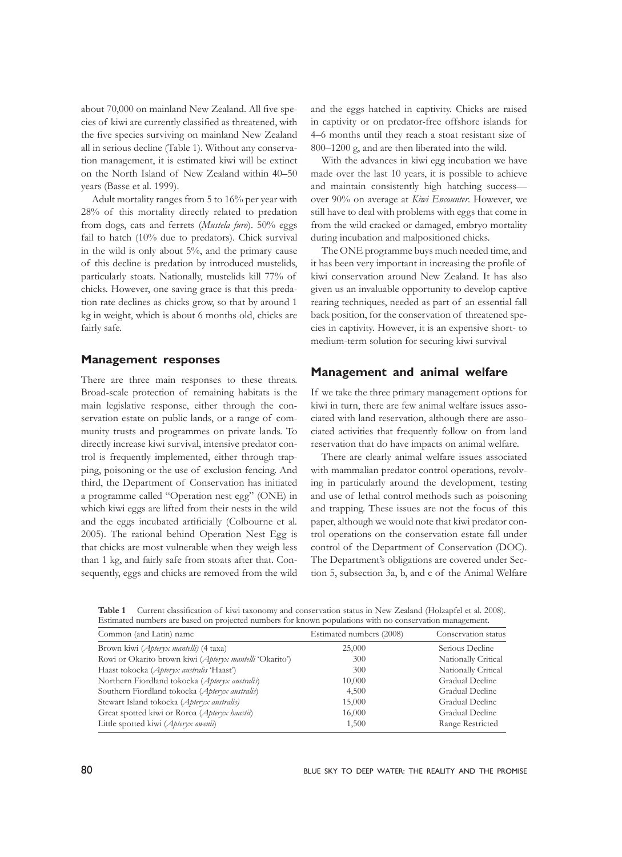about 70,000 on mainland New Zealand. All five species of kiwi are currently classified as threatened, with the five species surviving on mainland New Zealand all in serious decline (Table 1). Without any conservation management, it is estimated kiwi will be extinct on the North Island of New Zealand within 40–50 years (Basse et al. 1999).

Adult mortality ranges from 5 to 16% per year with 28% of this mortality directly related to predation from dogs, cats and ferrets (*Mustela furo*). 50% eggs fail to hatch (10% due to predators). Chick survival in the wild is only about 5%, and the primary cause of this decline is predation by introduced mustelids, particularly stoats. Nationally, mustelids kill 77% of chicks. However, one saving grace is that this predation rate declines as chicks grow, so that by around 1 kg in weight, which is about 6 months old, chicks are fairly safe.

## **Management responses**

There are three main responses to these threats. Broad-scale protection of remaining habitats is the main legislative response, either through the conservation estate on public lands, or a range of community trusts and programmes on private lands. To directly increase kiwi survival, intensive predator control is frequently implemented, either through trapping, poisoning or the use of exclusion fencing. And third, the Department of Conservation has initiated a programme called "Operation nest egg" (ONE) in which kiwi eggs are lifted from their nests in the wild and the eggs incubated artificially (Colbourne et al*.* 2005). The rational behind Operation Nest Egg is that chicks are most vulnerable when they weigh less than 1 kg, and fairly safe from stoats after that. Consequently, eggs and chicks are removed from the wild

and the eggs hatched in captivity. Chicks are raised in captivity or on predator-free offshore islands for 4–6 months until they reach a stoat resistant size of 800–1200 g, and are then liberated into the wild.

With the advances in kiwi egg incubation we have made over the last 10 years, it is possible to achieve and maintain consistently high hatching success over 90% on average at *Kiwi Encounter*. However, we still have to deal with problems with eggs that come in from the wild cracked or damaged, embryo mortality during incubation and malpositioned chicks.

The ONE programme buys much needed time, and it has been very important in increasing the profile of kiwi conservation around New Zealand. It has also given us an invaluable opportunity to develop captive rearing techniques, needed as part of an essential fall back position, for the conservation of threatened species in captivity. However, it is an expensive short- to medium-term solution for securing kiwi survival

#### **Management and animal welfare**

If we take the three primary management options for kiwi in turn, there are few animal welfare issues associated with land reservation, although there are associated activities that frequently follow on from land reservation that do have impacts on animal welfare.

There are clearly animal welfare issues associated with mammalian predator control operations, revolving in particularly around the development, testing and use of lethal control methods such as poisoning and trapping. These issues are not the focus of this paper, although we would note that kiwi predator control operations on the conservation estate fall under control of the Department of Conservation (DOC). The Department's obligations are covered under Section 5, subsection 3a, b, and c of the Animal Welfare

**Table 1** Current classification of kiwi taxonomy and conservation status in New Zealand (Holzapfel et al. 2008). Estimated numbers are based on projected numbers for known populations with no conservation management.

| Common (and Latin) name                                 | Estimated numbers (2008) | Conservation status |
|---------------------------------------------------------|--------------------------|---------------------|
| Brown kiwi (Apteryx mantelli) (4 taxa)                  | 25,000                   | Serious Decline     |
| Rowi or Okarito brown kiwi (Apteryx mantelli 'Okarito') | 300                      | Nationally Critical |
| Haast tokoeka (Apteryx australis 'Haast')               | 300                      | Nationally Critical |
| Northern Fiordland tokoeka (Apteryx australis)          | 10,000                   | Gradual Decline     |
| Southern Fiordland tokoeka (Apteryx australis)          | 4,500                    | Gradual Decline     |
| Stewart Island tokoeka (Apteryx australis)              | 15,000                   | Gradual Decline     |
| Great spotted kiwi or Roroa (Apteryx haastii)           | 16,000                   | Gradual Decline     |
| Little spotted kiwi (Apteryx owenii)                    | 1,500                    | Range Restricted    |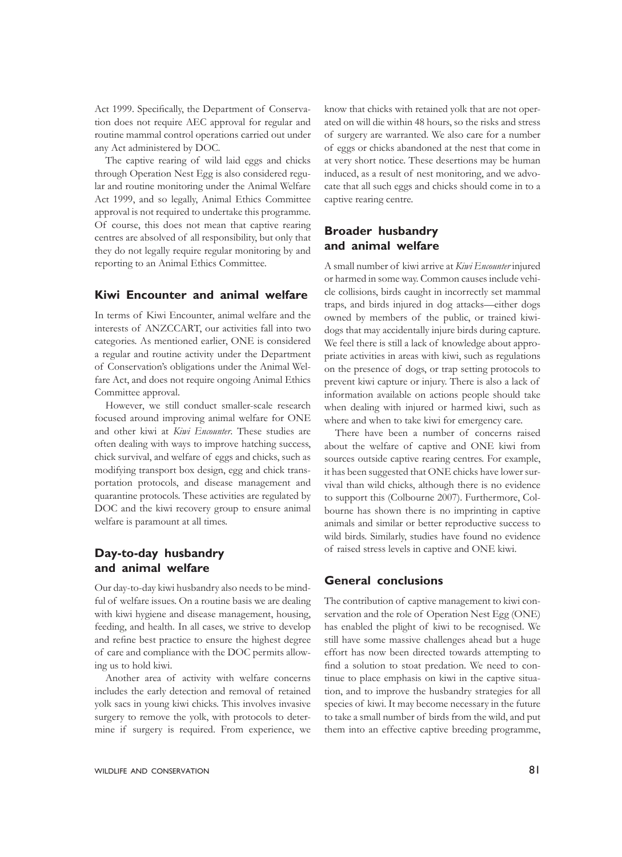Act 1999. Specifically, the Department of Conservation does not require AEC approval for regular and routine mammal control operations carried out under any Act administered by DOC.

The captive rearing of wild laid eggs and chicks through Operation Nest Egg is also considered regular and routine monitoring under the Animal Welfare Act 1999, and so legally, Animal Ethics Committee approval is not required to undertake this programme. Of course, this does not mean that captive rearing centres are absolved of all responsibility, but only that they do not legally require regular monitoring by and reporting to an Animal Ethics Committee.

## **Kiwi Encounter and animal welfare**

In terms of Kiwi Encounter, animal welfare and the interests of ANZCCART, our activities fall into two categories. As mentioned earlier, ONE is considered a regular and routine activity under the Department of Conservation's obligations under the Animal Welfare Act, and does not require ongoing Animal Ethics Committee approval.

However, we still conduct smaller-scale research focused around improving animal welfare for ONE and other kiwi at *Kiwi Encounter*. These studies are often dealing with ways to improve hatching success, chick survival, and welfare of eggs and chicks, such as modifying transport box design, egg and chick transportation protocols, and disease management and quarantine protocols. These activities are regulated by DOC and the kiwi recovery group to ensure animal welfare is paramount at all times.

# **Day-to-day husbandry and animal welfare**

Our day-to-day kiwi husbandry also needs to be mindful of welfare issues. On a routine basis we are dealing with kiwi hygiene and disease management, housing, feeding, and health. In all cases, we strive to develop and refine best practice to ensure the highest degree of care and compliance with the DOC permits allowing us to hold kiwi.

Another area of activity with welfare concerns includes the early detection and removal of retained yolk sacs in young kiwi chicks. This involves invasive surgery to remove the yolk, with protocols to determine if surgery is required. From experience, we know that chicks with retained yolk that are not operated on will die within 48 hours, so the risks and stress of surgery are warranted. We also care for a number of eggs or chicks abandoned at the nest that come in at very short notice. These desertions may be human induced, as a result of nest monitoring, and we advocate that all such eggs and chicks should come in to a captive rearing centre.

# **Broader husbandry and animal welfare**

A small number of kiwi arrive at *Kiwi Encounter* injured or harmed in some way. Common causes include vehicle collisions, birds caught in incorrectly set mammal traps, and birds injured in dog attacks—either dogs owned by members of the public, or trained kiwidogs that may accidentally injure birds during capture. We feel there is still a lack of knowledge about appropriate activities in areas with kiwi, such as regulations on the presence of dogs, or trap setting protocols to prevent kiwi capture or injury. There is also a lack of information available on actions people should take when dealing with injured or harmed kiwi, such as where and when to take kiwi for emergency care.

There have been a number of concerns raised about the welfare of captive and ONE kiwi from sources outside captive rearing centres. For example, it has been suggested that ONE chicks have lower survival than wild chicks, although there is no evidence to support this (Colbourne 2007). Furthermore, Colbourne has shown there is no imprinting in captive animals and similar or better reproductive success to wild birds. Similarly, studies have found no evidence of raised stress levels in captive and ONE kiwi.

# **General conclusions**

The contribution of captive management to kiwi conservation and the role of Operation Nest Egg (ONE) has enabled the plight of kiwi to be recognised. We still have some massive challenges ahead but a huge effort has now been directed towards attempting to find a solution to stoat predation. We need to continue to place emphasis on kiwi in the captive situation, and to improve the husbandry strategies for all species of kiwi. It may become necessary in the future to take a small number of birds from the wild, and put them into an effective captive breeding programme,